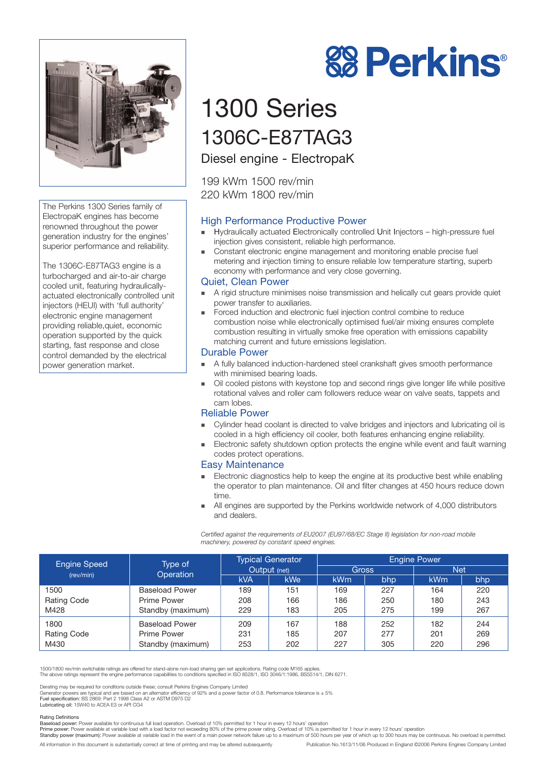

The Perkins 1300 Series family of ElectropaK engines has become renowned throughout the power generation industry for the engines' superior performance and reliability.

The 1306C-E87TAG3 engine is a turbocharged and air-to-air charge cooled unit, featuring hydraulicallyactuated electronically controlled unit injectors (HEUI) with 'full authority' electronic engine management providing reliable,quiet, economic operation supported by the quick starting, fast response and close control demanded by the electrical power generation market.

# **88 Perkins®**

# 1300 Series 1306C-E87TAG3

Diesel engine - ElectropaK

199 kWm 1500 rev/min 220 kWm 1800 rev/min

### High Performance Productive Power

- ! Hydraulically actuated Electronically controlled Unit Injectors high-pressure fuel injection gives consistent, reliable high performance.
- **EXECT** Constant electronic engine management and monitoring enable precise fuel metering and injection timing to ensure reliable low temperature starting, superb economy with performance and very close governing.

#### Quiet, Clean Power

- A rigid structure minimises noise transmission and helically cut gears provide quiet power transfer to auxiliaries.
- ! Forced induction and electronic fuel injection control combine to reduce combustion noise while electronically optimised fuel/air mixing ensures complete combustion resulting in virtually smoke free operation with emissions capability matching current and future emissions legislation.

#### Durable Power

- ! A fully balanced induction-hardened steel crankshaft gives smooth performance with minimised bearing loads.
- ! Oil cooled pistons with keystone top and second rings give longer life while positive rotational valves and roller cam followers reduce wear on valve seats, tappets and cam lobes.

#### Reliable Power

- ! Cylinder head coolant is directed to valve bridges and injectors and lubricating oil is cooled in a high efficiency oil cooler, both features enhancing engine reliability.
- ! Electronic safety shutdown option protects the engine while event and fault warning codes protect operations.

#### Easy Maintenance

- Electronic diagnostics help to keep the engine at its productive best while enabling the operator to plan maintenance. Oil and filter changes at 450 hours reduce down time.
- All engines are supported by the Perkins worldwide network of 4,000 distributors and dealers.

*Certified against the requirements of EU2007 (EU97/68/EC Stage II) legislation for non-road mobile machinery, powered by constant speed engines.*

| <b>Engine Speed</b><br>(rev/min) | Type of<br>Operation  | <b>Typical Generator</b><br>Output (net) |            | <b>Engine Power</b> |     |            |     |
|----------------------------------|-----------------------|------------------------------------------|------------|---------------------|-----|------------|-----|
|                                  |                       |                                          |            | <b>Gross</b>        |     | <b>Net</b> |     |
|                                  |                       | <b>kVA</b>                               | <b>kWe</b> | kWm                 | bhp | <b>kWm</b> | bhp |
| 1500                             | <b>Baseload Power</b> | 189                                      | 151        | 169                 | 227 | 164        | 220 |
| <b>Rating Code</b>               | Prime Power           | 208                                      | 166        | 186                 | 250 | 180        | 243 |
| M428                             | Standby (maximum)     | 229                                      | 183        | 205                 | 275 | 199        | 267 |
| 1800                             | <b>Baseload Power</b> | 209                                      | 167        | 188                 | 252 | 182        | 244 |
| <b>Rating Code</b>               | Prime Power           | 231                                      | 185        | 207                 | 277 | 201        | 269 |
| M430                             | Standby (maximum)     | 253                                      | 202        | 227                 | 305 | 220        | 296 |

1500/1800 rev/min switchable ratings are offered for stand-alone non-load sharing gen set applications. Rating code M165 applies.

The above ratings represent the engine performance capabilities to conditions specified in ISO 8528/1, ISO 3046/1:1986, BS5514/1, DIN 6271.

Derating may be required for conditions outside these; consult Perkins Engines Company Limited<br>Generator powers are typical and are based on an alternator efficiency of 92% and a power factor of 0.8. Performance tolerance

Lubricating oil: 15W40 to ACEA E3 or API CG4

#### Rating Definitions

Baseload power: Power available for continuous full load operation. Overload of 10% permitted for 1 hour in every 12 hours' operation

Prime power: Power available at variable load with a load factor not exceeding 80% of the prime power rating. Overload of 10% is permitted for 1 hour in every 12 hours' operation Standby power (maximum): Power available at variable load in the event of a main power network failure up to a maximum of 500 hours per year of which up to 300 hours may be continuous. No overload is permitted.

All information in this document is substantially correct at time of printing and may be altered subsequently Publication No.1613/11/06 Produced in England ©2006 Perkins Engines Company Limited